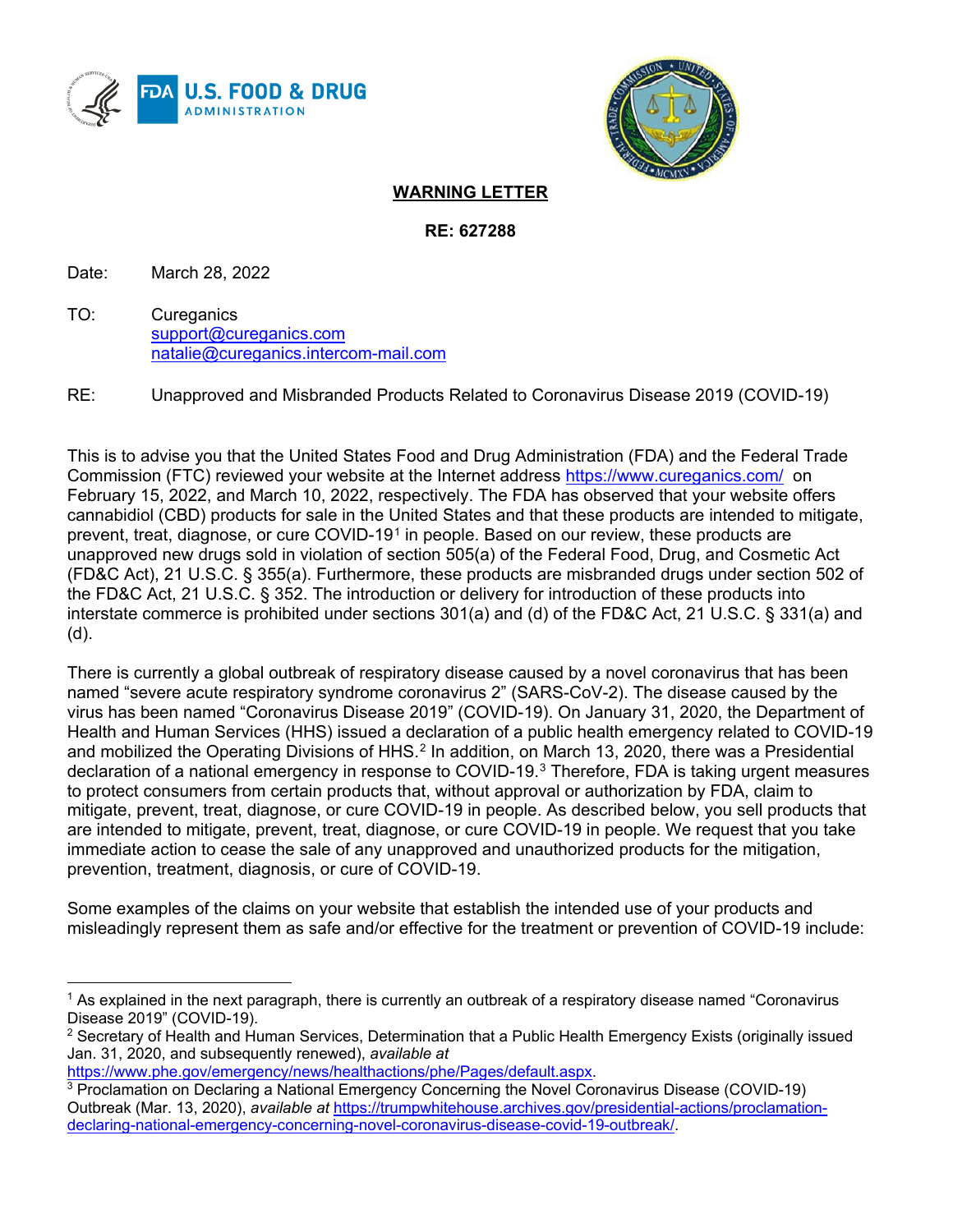



## **WARNING LETTER**

**RE: 627288**

Date: March 28, 2022

TO: Cureganics [support@cureganics.com](mailto:support@cureganics.com) [natalie@cureganics.intercom-mail.com](mailto:natalie@cureganics.intercom-mail.com)

RE: Unapproved and Misbranded Products Related to Coronavirus Disease 2019 (COVID-19)

This is to advise you that the United States Food and Drug Administration (FDA) and the Federal Trade Commission (FTC) reviewed your website at the Internet address<https://www.cureganics.com/> on February 15, 2022, and March 10, 2022, respectively. The FDA has observed that your website offers cannabidiol (CBD) products for sale in the United States and that these products are intended to mitigate, prevent, treat, diagnose, or cure COVID-[1](#page-0-0)9<sup>1</sup> in people. Based on our review, these products are unapproved new drugs sold in violation of section 505(a) of the Federal Food, Drug, and Cosmetic Act (FD&C Act), 21 U.S.C. § 355(a). Furthermore, these products are misbranded drugs under section 502 of the FD&C Act, 21 U.S.C. § 352. The introduction or delivery for introduction of these products into interstate commerce is prohibited under sections 301(a) and (d) of the FD&C Act, 21 U.S.C. § 331(a) and (d).

There is currently a global outbreak of respiratory disease caused by a novel coronavirus that has been named "severe acute respiratory syndrome coronavirus 2" (SARS-CoV-2). The disease caused by the virus has been named "Coronavirus Disease 2019" (COVID-19). On January 31, 2020, the Department of Health and Human Services (HHS) issued a declaration of a public health emergency related to COVID-19 and mobilized the Operating Divisions of HHS.<sup>[2](#page-0-1)</sup> In addition, on March 13, 2020, there was a Presidential declaration of a national emergency in response to COVID-19.[3](#page-0-2) Therefore, FDA is taking urgent measures to protect consumers from certain products that, without approval or authorization by FDA, claim to mitigate, prevent, treat, diagnose, or cure COVID-19 in people. As described below, you sell products that are intended to mitigate, prevent, treat, diagnose, or cure COVID-19 in people. We request that you take immediate action to cease the sale of any unapproved and unauthorized products for the mitigation, prevention, treatment, diagnosis, or cure of COVID-19.

Some examples of the claims on your website that establish the intended use of your products and misleadingly represent them as safe and/or effective for the treatment or prevention of COVID-19 include:

```
https://www.phe.gov/emergency/news/healthactions/phe/Pages/default.aspx.
```
<span id="page-0-0"></span><sup>&</sup>lt;sup>1</sup> As explained in the next paragraph, there is currently an outbreak of a respiratory disease named "Coronavirus Disease 2019" (COVID-19).

<span id="page-0-1"></span> $2$  Secretary of Health and Human Services, Determination that a Public Health Emergency Exists (originally issued Jan. 31, 2020, and subsequently renewed), *available at*

<span id="page-0-2"></span><sup>3</sup> Proclamation on Declaring a National Emergency Concerning the Novel Coronavirus Disease (COVID-19) Outbreak (Mar. 13, 2020), *available at* [https://trumpwhitehouse.archives.gov/presidential-actions/proclamation](https://trumpwhitehouse.archives.gov/presidential-actions/proclamation-declaring-national-emergency-concerning-novel-coronavirus-disease-covid-19-outbreak/)[declaring-national-emergency-concerning-novel-coronavirus-disease-covid-19-outbreak/.](https://trumpwhitehouse.archives.gov/presidential-actions/proclamation-declaring-national-emergency-concerning-novel-coronavirus-disease-covid-19-outbreak/)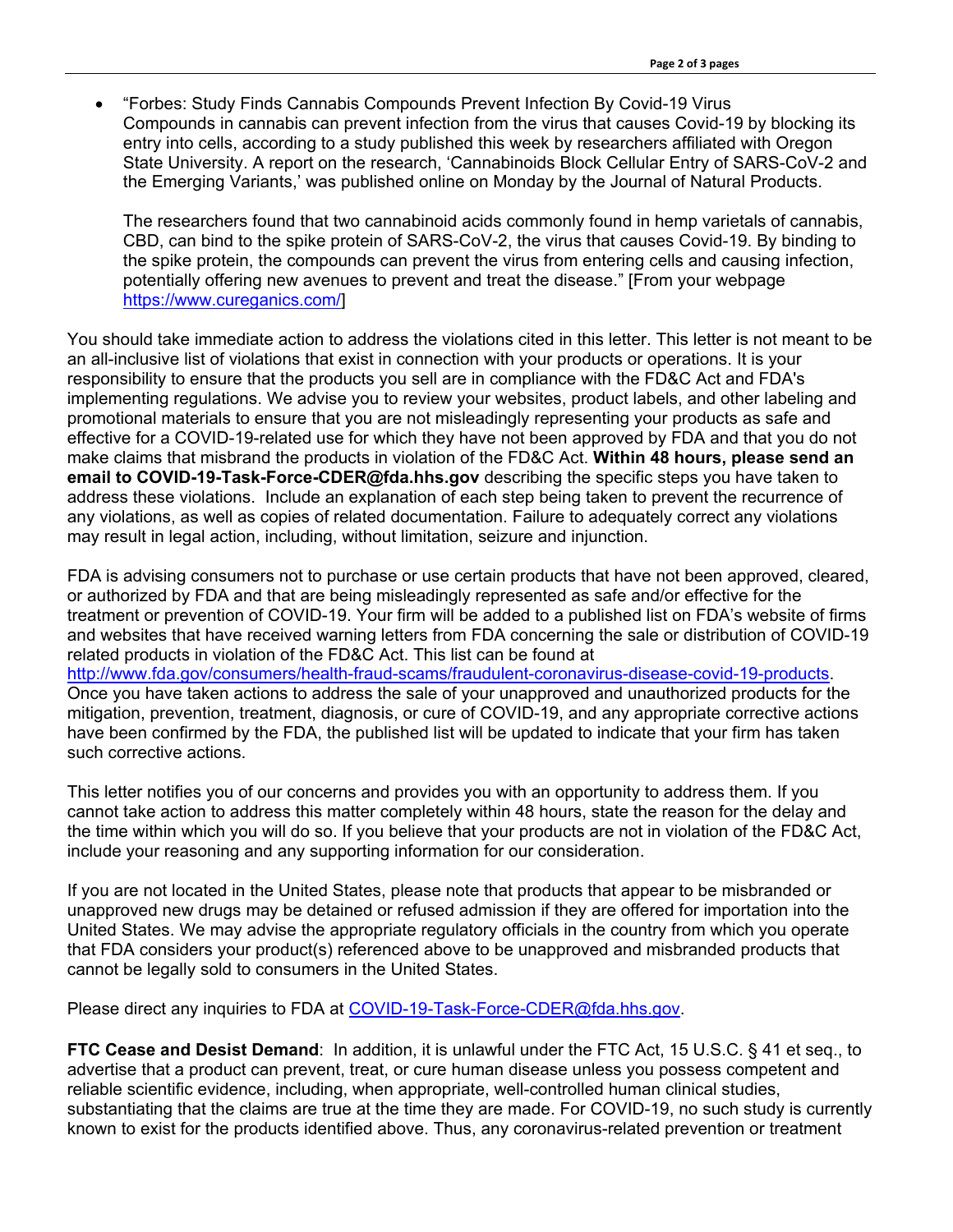• "Forbes: Study Finds Cannabis Compounds Prevent Infection By Covid-19 Virus Compounds in cannabis can prevent infection from the virus that causes Covid-19 by blocking its entry into cells, according to a study published this week by researchers affiliated with Oregon State University. A report on the research, 'Cannabinoids Block Cellular Entry of SARS-CoV-2 and the Emerging Variants,' was published online on Monday by the Journal of Natural Products.

The researchers found that two cannabinoid acids commonly found in hemp varietals of cannabis, CBD, can bind to the spike protein of SARS-CoV-2, the virus that causes Covid-19. By binding to the spike protein, the compounds can prevent the virus from entering cells and causing infection, potentially offering new avenues to prevent and treat the disease." [From your webpage [https://www.cureganics.com/\]](https://www.cureganics.com/)

You should take immediate action to address the violations cited in this letter. This letter is not meant to be an all-inclusive list of violations that exist in connection with your products or operations. It is your responsibility to ensure that the products you sell are in compliance with the FD&C Act and FDA's implementing regulations. We advise you to review your websites, product labels, and other labeling and promotional materials to ensure that you are not misleadingly representing your products as safe and effective for a COVID-19-related use for which they have not been approved by FDA and that you do not make claims that misbrand the products in violation of the FD&C Act. **Within 48 hours, please send an email to COVID-19-Task-Force-CDER@fda.hhs.gov** describing the specific steps you have taken to address these violations. Include an explanation of each step being taken to prevent the recurrence of any violations, as well as copies of related documentation. Failure to adequately correct any violations may result in legal action, including, without limitation, seizure and injunction.

FDA is advising consumers not to purchase or use certain products that have not been approved, cleared, or authorized by FDA and that are being misleadingly represented as safe and/or effective for the treatment or prevention of COVID-19. Your firm will be added to a published list on FDA's website of firms and websites that have received warning letters from FDA concerning the sale or distribution of COVID-19 related products in violation of the FD&C Act. This list can be found at [http://www.fda.gov/consumers/health-fraud-scams/fraudulent-coronavirus-disease-covid-19-products.](http://www.fda.gov/consumers/health-fraud-scams/fraudulent-coronavirus-disease-covid-19-products) Once you have taken actions to address the sale of your unapproved and unauthorized products for the mitigation, prevention, treatment, diagnosis, or cure of COVID-19, and any appropriate corrective actions have been confirmed by the FDA, the published list will be updated to indicate that your firm has taken such corrective actions.

This letter notifies you of our concerns and provides you with an opportunity to address them. If you cannot take action to address this matter completely within 48 hours, state the reason for the delay and the time within which you will do so. If you believe that your products are not in violation of the FD&C Act, include your reasoning and any supporting information for our consideration.

If you are not located in the United States, please note that products that appear to be misbranded or unapproved new drugs may be detained or refused admission if they are offered for importation into the United States. We may advise the appropriate regulatory officials in the country from which you operate that FDA considers your product(s) referenced above to be unapproved and misbranded products that cannot be legally sold to consumers in the United States.

Please direct any inquiries to FDA at [COVID-19-Task-Force-CDER@fda.hhs.gov.](mailto:COVID-19-Task-Force-CDER@fda.hhs.gov)

**FTC Cease and Desist Demand**: In addition, it is unlawful under the FTC Act, 15 U.S.C. § 41 et seq., to advertise that a product can prevent, treat, or cure human disease unless you possess competent and reliable scientific evidence, including, when appropriate, well-controlled human clinical studies, substantiating that the claims are true at the time they are made. For COVID-19, no such study is currently known to exist for the products identified above. Thus, any coronavirus-related prevention or treatment